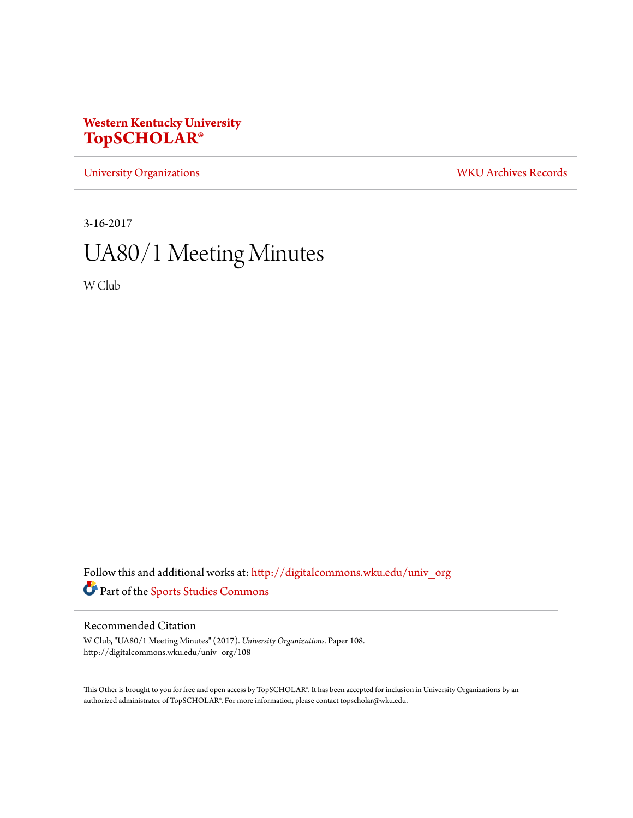## **Western Kentucky University [TopSCHOLAR®](http://digitalcommons.wku.edu?utm_source=digitalcommons.wku.edu%2Funiv_org%2F108&utm_medium=PDF&utm_campaign=PDFCoverPages)**

[University Organizations](http://digitalcommons.wku.edu/univ_org?utm_source=digitalcommons.wku.edu%2Funiv_org%2F108&utm_medium=PDF&utm_campaign=PDFCoverPages) [WKU Archives Records](http://digitalcommons.wku.edu/dlsc_ua_records?utm_source=digitalcommons.wku.edu%2Funiv_org%2F108&utm_medium=PDF&utm_campaign=PDFCoverPages)

3-16-2017

# UA80/1 Meeting Minutes

W Club

Follow this and additional works at: [http://digitalcommons.wku.edu/univ\\_org](http://digitalcommons.wku.edu/univ_org?utm_source=digitalcommons.wku.edu%2Funiv_org%2F108&utm_medium=PDF&utm_campaign=PDFCoverPages) Part of the [Sports Studies Commons](http://network.bepress.com/hgg/discipline/1198?utm_source=digitalcommons.wku.edu%2Funiv_org%2F108&utm_medium=PDF&utm_campaign=PDFCoverPages)

#### Recommended Citation

W Club, "UA80/1 Meeting Minutes" (2017). *University Organizations.* Paper 108. http://digitalcommons.wku.edu/univ\_org/108

This Other is brought to you for free and open access by TopSCHOLAR®. It has been accepted for inclusion in University Organizations by an authorized administrator of TopSCHOLAR®. For more information, please contact topscholar@wku.edu.